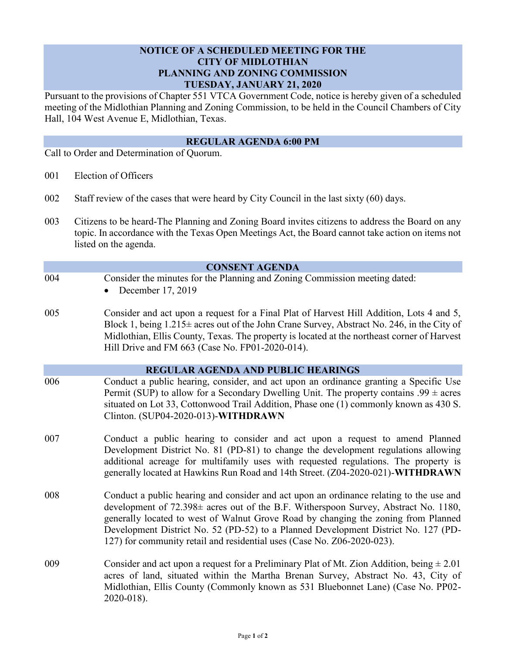## **NOTICE OF A SCHEDULED MEETING FOR THE CITY OF MIDLOTHIAN PLANNING AND ZONING COMMISSION TUESDAY, JANUARY 21, 2020**

Pursuant to the provisions of Chapter 551 VTCA Government Code, notice is hereby given of a scheduled meeting of the Midlothian Planning and Zoning Commission, to be held in the Council Chambers of City Hall, 104 West Avenue E, Midlothian, Texas.

## **REGULAR AGENDA 6:00 PM**

Call to Order and Determination of Quorum.

- 001 Election of Officers
- 002 Staff review of the cases that were heard by City Council in the last sixty (60) days.
- 003 Citizens to be heard-The Planning and Zoning Board invites citizens to address the Board on any topic. In accordance with the Texas Open Meetings Act, the Board cannot take action on items not listed on the agenda.

|     | <b>CONSENT AGENDA</b>                                                                                                                                                                                                                                                                                                                                                                                                                 |
|-----|---------------------------------------------------------------------------------------------------------------------------------------------------------------------------------------------------------------------------------------------------------------------------------------------------------------------------------------------------------------------------------------------------------------------------------------|
| 004 | Consider the minutes for the Planning and Zoning Commission meeting dated:<br>December 17, 2019                                                                                                                                                                                                                                                                                                                                       |
| 005 | Consider and act upon a request for a Final Plat of Harvest Hill Addition, Lots 4 and 5,<br>Block 1, being $1.215\pm$ acres out of the John Crane Survey, Abstract No. 246, in the City of<br>Midlothian, Ellis County, Texas. The property is located at the northeast corner of Harvest<br>Hill Drive and FM 663 (Case No. FP01-2020-014).                                                                                          |
|     | <b>REGULAR AGENDA AND PUBLIC HEARINGS</b>                                                                                                                                                                                                                                                                                                                                                                                             |
| 006 | Conduct a public hearing, consider, and act upon an ordinance granting a Specific Use<br>Permit (SUP) to allow for a Secondary Dwelling Unit. The property contains .99 $\pm$ acres<br>situated on Lot 33, Cottonwood Trail Addition, Phase one (1) commonly known as 430 S.<br>Clinton. (SUP04-2020-013)-WITHDRAWN                                                                                                                   |
| 007 | Conduct a public hearing to consider and act upon a request to amend Planned<br>Development District No. 81 (PD-81) to change the development regulations allowing<br>additional acreage for multifamily uses with requested regulations. The property is<br>generally located at Hawkins Run Road and 14th Street. (Z04-2020-021)-WITHDRAWN                                                                                          |
| 008 | Conduct a public hearing and consider and act upon an ordinance relating to the use and<br>development of 72.398± acres out of the B.F. Witherspoon Survey, Abstract No. 1180,<br>generally located to west of Walnut Grove Road by changing the zoning from Planned<br>Development District No. 52 (PD-52) to a Planned Development District No. 127 (PD-<br>127) for community retail and residential uses (Case No. Z06-2020-023). |
| 009 | Consider and act upon a request for a Preliminary Plat of Mt. Zion Addition, being $\pm 2.01$<br>acres of land, situated within the Martha Brenan Survey, Abstract No. 43, City of<br>Midlothian, Ellis County (Commonly known as 531 Bluebonnet Lane) (Case No. PP02-<br>2020-018).                                                                                                                                                  |